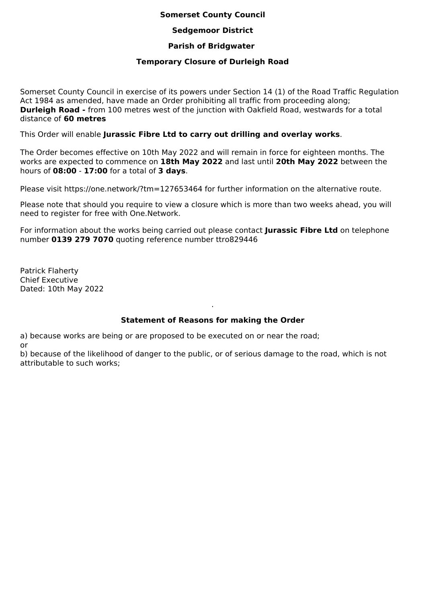### **Somerset County Council**

## **Sedgemoor District**

## **Parish of Bridgwater**

## **Temporary Closure of Durleigh Road**

Somerset County Council in exercise of its powers under Section 14 (1) of the Road Traffic Regulation Act 1984 as amended, have made an Order prohibiting all traffic from proceeding along; **Durleigh Road -** from 100 metres west of the junction with Oakfield Road, westwards for a total distance of **60 metres**

This Order will enable **Jurassic Fibre Ltd to carry out drilling and overlay works**.

The Order becomes effective on 10th May 2022 and will remain in force for eighteen months. The works are expected to commence on **18th May 2022** and last until **20th May 2022** between the hours of **08:00** - **17:00** for a total of **3 days**.

Please visit https://one.network/?tm=127653464 for further information on the alternative route.

Please note that should you require to view a closure which is more than two weeks ahead, you will need to register for free with One.Network.

For information about the works being carried out please contact **Jurassic Fibre Ltd** on telephone number **0139 279 7070** quoting reference number ttro829446

Patrick Flaherty Chief Executive Dated: 10th May 2022

# **Statement of Reasons for making the Order**

.

a) because works are being or are proposed to be executed on or near the road; or

b) because of the likelihood of danger to the public, or of serious damage to the road, which is not attributable to such works;